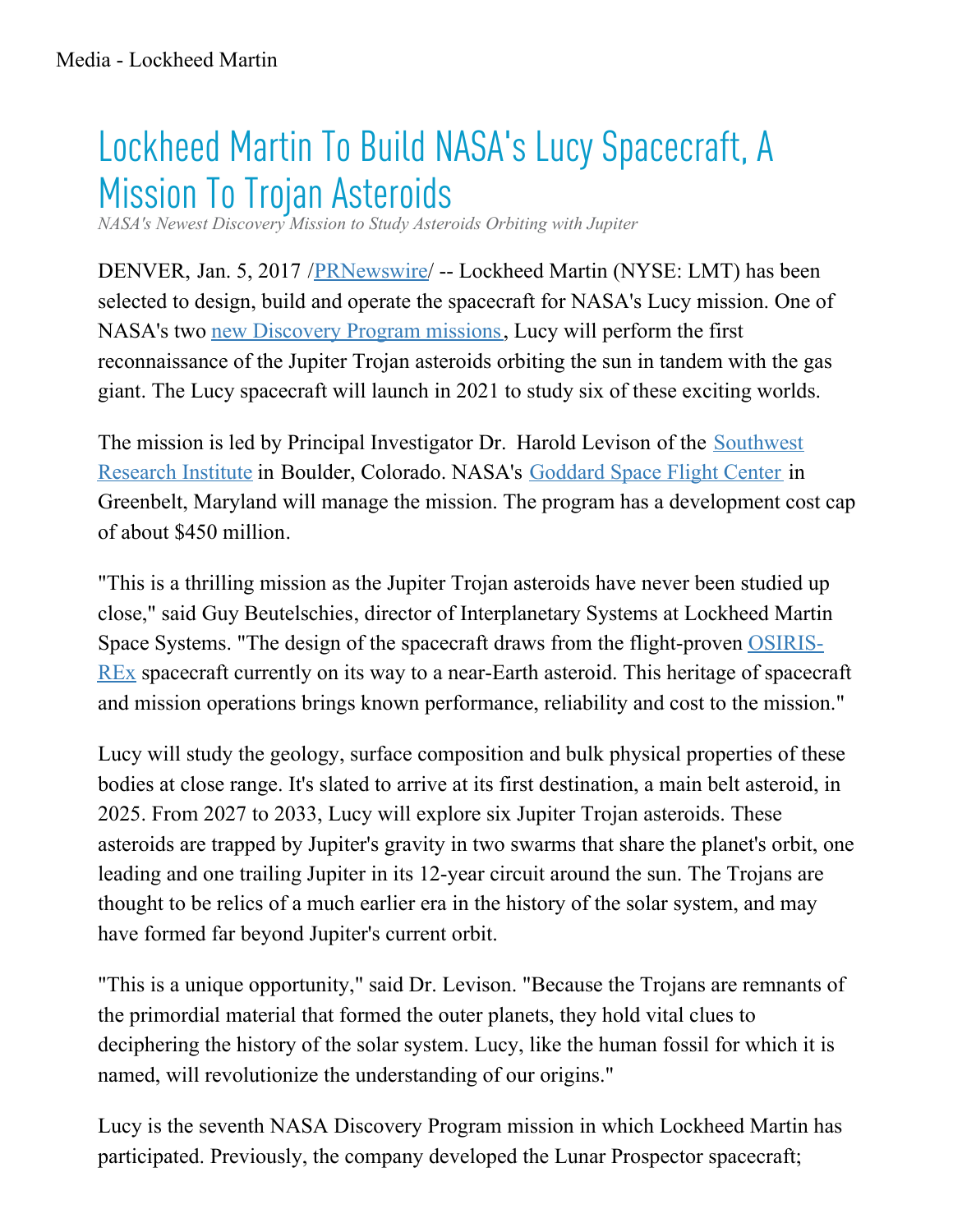## Lockheed Martin To Build NASA's Lucy Spacecraft, A Mission To Trojan Asteroids

*NASA's Newest Discovery Mission to Study Asteroids Orbiting with Jupiter*

DENVER, Jan. 5, 2017 /**PRNewswire/** -- Lockheed Martin (NYSE: LMT) has been selected to design, build and operate the spacecraft for NASA's Lucy mission. One of NASA's two new [Discovery](https://www.nasa.gov/press-release/nasa-selects-two-missions-to-explore-the-early-solar-system) Program missions, Lucy will perform the first reconnaissance of the Jupiter Trojan asteroids orbiting the sun in tandem with the gas giant. The Lucy spacecraft will launch in 2021 to study six of these exciting worlds.

The mission is led by Principal [Investigator](http://www.swri.org/default.htm) Dr. Harold Levison of the **Southwest** Research Institute in Boulder, Colorado. NASA's [Goddard](https://www.nasa.gov/goddard) Space Flight Center in Greenbelt, Maryland will manage the mission. The program has a development cost cap of about \$450 million.

"This is a thrilling mission as the Jupiter Trojan asteroids have never been studied up close," said Guy Beutelschies, director of Interplanetary Systems at Lockheed Martin Space Systems. "The design of the spacecraft draws from the [flight-proven](http://www.lockheedmartin.com/osirisrex) OSIRIS-REX spacecraft currently on its way to a near-Earth asteroid. This heritage of spacecraft and mission operations brings known performance, reliability and cost to the mission."

Lucy will study the geology, surface composition and bulk physical properties of these bodies at close range. It's slated to arrive at its first destination, a main belt asteroid, in 2025. From 2027 to 2033, Lucy will explore six Jupiter Trojan asteroids. These asteroids are trapped by Jupiter's gravity in two swarms that share the planet's orbit, one leading and one trailing Jupiter in its 12-year circuit around the sun. The Trojans are thought to be relics of a much earlier era in the history of the solar system, and may have formed far beyond Jupiter's current orbit.

"This is a unique opportunity," said Dr. Levison. "Because the Trojans are remnants of the primordial material that formed the outer planets, they hold vital clues to deciphering the history of the solar system. Lucy, like the human fossil for which it is named, will revolutionize the understanding of our origins."

Lucy is the seventh NASA Discovery Program mission in which Lockheed Martin has participated. Previously, the company developed the Lunar Prospector spacecraft;